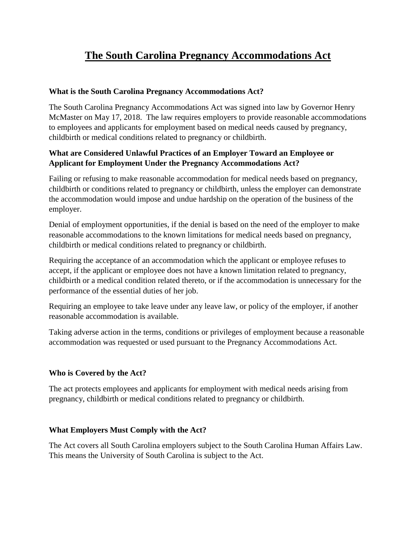# **The South Carolina Pregnancy Accommodations Act**

#### **What is the South Carolina Pregnancy Accommodations Act?**

The South Carolina Pregnancy Accommodations Act was signed into law by Governor Henry McMaster on May 17, 2018. The law requires employers to provide reasonable accommodations to employees and applicants for employment based on medical needs caused by pregnancy, childbirth or medical conditions related to pregnancy or childbirth.

## **What are Considered Unlawful Practices of an Employer Toward an Employee or Applicant for Employment Under the Pregnancy Accommodations Act?**

Failing or refusing to make reasonable accommodation for medical needs based on pregnancy, childbirth or conditions related to pregnancy or childbirth, unless the employer can demonstrate the accommodation would impose and undue hardship on the operation of the business of the employer.

Denial of employment opportunities, if the denial is based on the need of the employer to make reasonable accommodations to the known limitations for medical needs based on pregnancy, childbirth or medical conditions related to pregnancy or childbirth.

Requiring the acceptance of an accommodation which the applicant or employee refuses to accept, if the applicant or employee does not have a known limitation related to pregnancy, childbirth or a medical condition related thereto, or if the accommodation is unnecessary for the performance of the essential duties of her job.

Requiring an employee to take leave under any leave law, or policy of the employer, if another reasonable accommodation is available.

Taking adverse action in the terms, conditions or privileges of employment because a reasonable accommodation was requested or used pursuant to the Pregnancy Accommodations Act.

## **Who is Covered by the Act?**

The act protects employees and applicants for employment with medical needs arising from pregnancy, childbirth or medical conditions related to pregnancy or childbirth.

#### **What Employers Must Comply with the Act?**

The Act covers all South Carolina employers subject to the South Carolina Human Affairs Law. This means the University of South Carolina is subject to the Act.